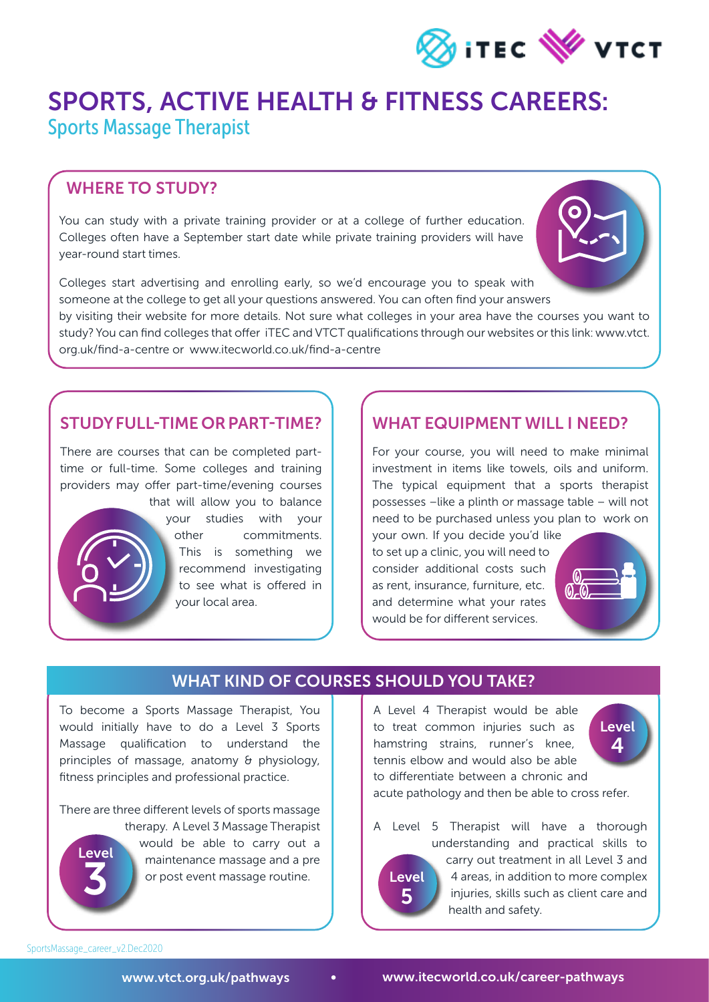

# SPORTS, ACTIVE HEALTH & FITNESS CAREERS:

Sports Massage Therapist

#### WHERE TO STUDY?

You can study with a private training provider or at a college of further education. Colleges often have a September start date while private training providers will have year-round start times.



by visiting their website for more details. Not sure what colleges in your area have the courses you want to study? You can find colleges that offer iTEC and VTCT qualifications through our websites or this link: www.vtct. org.uk/find-a-centre or www.itecworld.co.uk/find-a-centre

#### STUDY FULL-TIME OR PART-TIME?

There are courses that can be completed parttime or full-time. Some colleges and training providers may offer part-time/evening courses that will allow you to balance



your studies with your other commitments. This is something we recommend investigating to see what is offered in your local area.

#### WHAT EQUIPMENT WILL I NEED?

For your course, you will need to make minimal investment in items like towels, oils and uniform. The typical equipment that a sports therapist possesses –like a plinth or massage table – will not need to be purchased unless you plan to work on

your own. If you decide you'd like to set up a clinic, you will need to consider additional costs such as rent, insurance, furniture, etc. and determine what your rates would be for different services.



#### WHAT KIND OF COURSES SHOULD YOU TAKE?

To become a Sports Massage Therapist, You would initially have to do a Level 3 Sports Massage qualification to understand the principles of massage, anatomy & physiology, fitness principles and professional practice.

There are three different levels of sports massage therapy. A Level 3 Massage Therapist



would be able to carry out a maintenance massage and a pre or post event massage routine.

A Level 4 Therapist would be able to treat common injuries such as hamstring strains, runner's knee, tennis elbow and would also be able to differentiate between a chronic and



acute pathology and then be able to cross refer.

A Level 5 Therapist will have a thorough understanding and practical skills to carry out treatment in all Level 3 and 4 areas, in addition to more complex injuries, skills such as client care and health and safety. **Level** 5

SportsMassage\_career\_v2.Dec2020

[www.vtct.org.uk/pathways](www.vtct.org.uk/pathways?utm_source=PDF%20download&utm_medium=PDF&utm_campaign=Christmas%202020&utm_content=Sports%20Massage%20Therapist%20PDF) • [www.itecworld.co.uk/](www.itecworld.co.uk/career-pathways?utm_source=PDF%20download&utm_medium=PDF&utm_campaign=Christmas%202020&utm_content=Sports%20Massage%20Therapist%20PDF)career-pathways